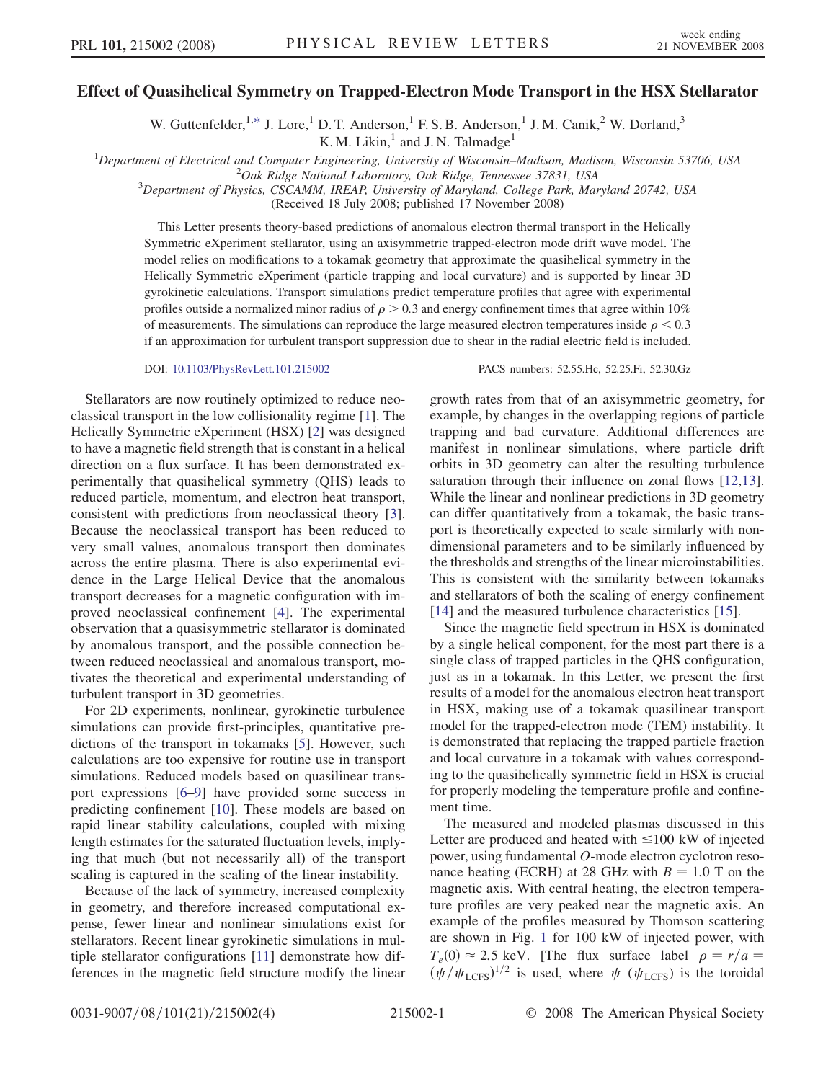## Effect of Quasihelical Symmetry on Trapped-Electron Mode Transport in the HSX Stellarator

W. Guttenfelder,  $1, *$  $1, *$  J. Lore,<sup>1</sup> D. T. Anderson,<sup>1</sup> F. S. B. Anderson,<sup>1</sup> J. M. Canik,<sup>2</sup> W. Dorland,<sup>3</sup>

K. M. Likin, $<sup>1</sup>$  and J. N. Talmadge<sup>1</sup></sup>

<sup>1</sup>Department of Electrical and Computer Engineering, University of Wisconsin–Madison, Madison, Wisconsin 53706, USA  $\frac{2Q_{ab}}{P_{ab}}$  Pideo National Laboratory, Oak Pideo Tannesses 37831, USA

 $^{2}$ Oak Ridge National Laboratory, Oak Ridge, Tennessee 37831, USA

<sup>3</sup>Department of Physics, CSCAMM, IREAP, University of Maryland, College Park, Maryland 20742, USA

(Received 18 July 2008; published 17 November 2008)

This Letter presents theory-based predictions of anomalous electron thermal transport in the Helically Symmetric eXperiment stellarator, using an axisymmetric trapped-electron mode drift wave model. The model relies on modifications to a tokamak geometry that approximate the quasihelical symmetry in the Helically Symmetric eXperiment (particle trapping and local curvature) and is supported by linear 3D gyrokinetic calculations. Transport simulations predict temperature profiles that agree with experimental profiles outside a normalized minor radius of  $\rho > 0.3$  and energy confinement times that agree within 10% of measurements. The simulations can reproduce the large measured electron temperatures inside  $\rho < 0.3$ if an approximation for turbulent transport suppression due to shear in the radial electric field is included.

DOI: [10.1103/PhysRevLett.101.215002](http://dx.doi.org/10.1103/PhysRevLett.101.215002) PACS numbers: 52.55.Hc, 52.25.Fi, 52.30.Gz

Stellarators are now routinely optimized to reduce neoclassical transport in the low collisionality regime [1]. The Helically Symmetric eXperiment (HSX) [2] was designed to have a magnetic field strength that is constant in a helical direction on a flux surface. It has been demonstrated experimentally that quasihelical symmetry (QHS) leads to reduced particle, momentum, and electron heat transport, consistent with predictions from neoclassical theory [3]. Because the neoclassical transport has been reduced to very small values, anomalous transport then dominates across the entire plasma. There is also experimental evidence in the Large Helical Device that the anomalous transport decreases for a magnetic configuration with improved neoclassical confinement [4]. The experimental observation that a quasisymmetric stellarator is dominated by anomalous transport, and the possible connection between reduced neoclassical and anomalous transport, motivates the theoretical and experimental understanding of turbulent transport in 3D geometries.

For 2D experiments, nonlinear, gyrokinetic turbulence simulations can provide first-principles, quantitative predictions of the transport in tokamaks [5]. However, such calculations are too expensive for routine use in transport simulations. Reduced models based on quasilinear transport expressions [6–9] have provided some success in predicting confinement [10]. These models are based on rapid linear stability calculations, coupled with mixing length estimates for the saturated fluctuation levels, implying that much (but not necessarily all) of the transport scaling is captured in the scaling of the linear instability.

Because of the lack of symmetry, increased complexity in geometry, and therefore increased computational expense, fewer linear and nonlinear simulations exist for stellarators. Recent linear gyrokinetic simulations in multiple stellarator configurations [11] demonstrate how differences in the magnetic field structure modify the linear growth rates from that of an axisymmetric geometry, for example, by changes in the overlapping regions of particle trapping and bad curvature. Additional differences are manifest in nonlinear simulations, where particle drift orbits in 3D geometry can alter the resulting turbulence saturation through their influence on zonal flows [12,13]. While the linear and nonlinear predictions in 3D geometry can differ quantitatively from a tokamak, the basic transport is theoretically expected to scale similarly with nondimensional parameters and to be similarly influenced by the thresholds and strengths of the linear microinstabilities. This is consistent with the similarity between tokamaks and stellarators of both the scaling of energy confinement [14] and the measured turbulence characteristics [15].

Since the magnetic field spectrum in HSX is dominated by a single helical component, for the most part there is a single class of trapped particles in the QHS configuration, just as in a tokamak. In this Letter, we present the first results of a model for the anomalous electron heat transport in HSX, making use of a tokamak quasilinear transport model for the trapped-electron mode (TEM) instability. It is demonstrated that replacing the trapped particle fraction and local curvature in a tokamak with values corresponding to the quasihelically symmetric field in HSX is crucial for properly modeling the temperature profile and confinement time.

The measured and modeled plasmas discussed in this Letter are produced and heated with  $\leq 100$  kW of injected power, using fundamental O-mode electron cyclotron resonance heating (ECRH) at 28 GHz with  $B = 1.0$  T on the magnetic axis. With central heating, the electron temperature profiles are very peaked near the magnetic axis. An example of the profiles measured by Thomson scattering are shown in Fig. [1](#page-1-0) for 100 kW of injected power, with  $T_e(0) \approx 2.5$  keV. [The flux surface label  $\rho = r/a$  =  $(\psi/\psi_{\text{LCFS}})^{1/2}$  is used, where  $\psi$  ( $\psi_{\text{LCFS}}$ ) is the toroidal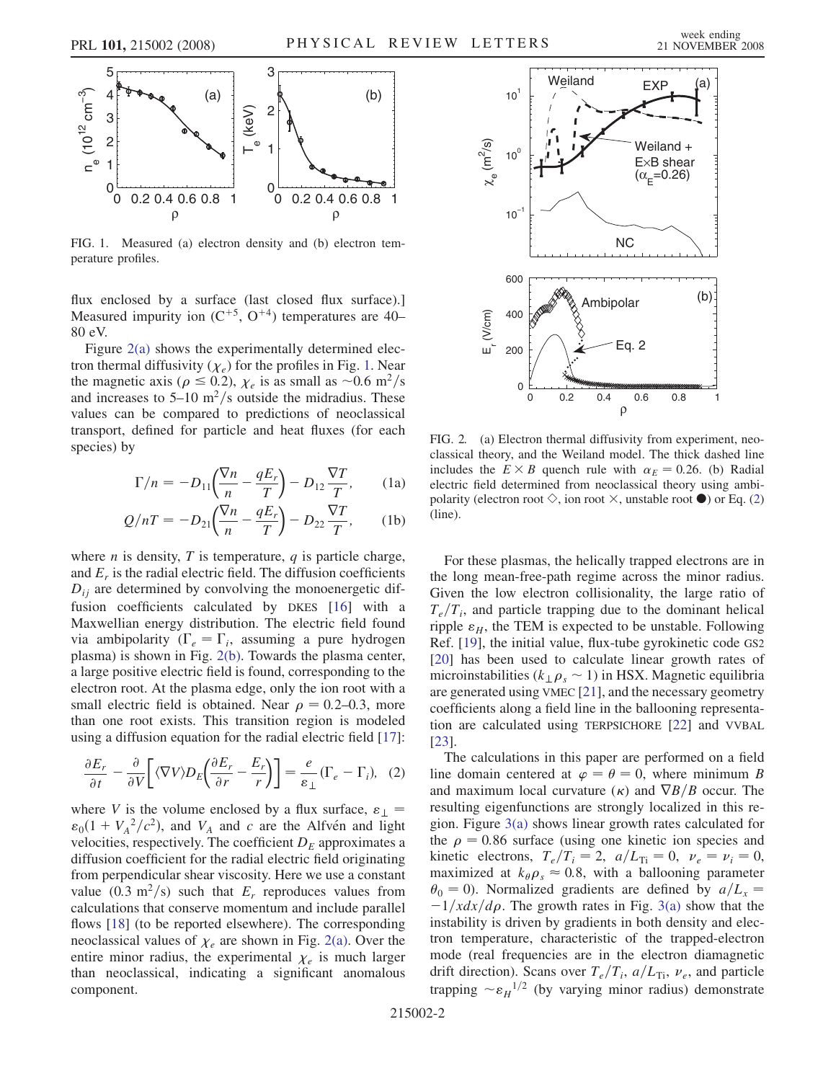<span id="page-1-0"></span>

FIG. 1. Measured (a) electron density and (b) electron temperature profiles.

flux enclosed by a surface (last closed flux surface).] Measured impurity ion  $(C^{+5}, O^{+4})$  temperatures are 40– 80 eV.

Figure 2(a) shows the experimentally determined electron thermal diffusivity  $(\chi_e)$  for the profiles in Fig. 1. Near the magnetic axis ( $\rho \le 0.2$ ),  $\chi_e$  is as small as ~0.6 m<sup>2</sup>/s and increases to  $5-10 \text{ m}^2/\text{s}$  outside the midradius. These values can be compared to predictions of neoclassical transport, defined for particle and heat fluxes (for each species) by

$$
\Gamma/n = -D_{11}\left(\frac{\nabla n}{n} - \frac{qE_r}{T}\right) - D_{12}\frac{\nabla T}{T},\qquad(1a)
$$

$$
Q/nT = -D_{21}\left(\frac{\nabla n}{n} - \frac{qE_r}{T}\right) - D_{22}\frac{\nabla T}{T},\qquad(1b)
$$

where  $n$  is density,  $T$  is temperature,  $q$  is particle charge, and  $E_r$  is the radial electric field. The diffusion coefficients  $D_{ij}$  are determined by convolving the monoenergetic diffusion coefficients calculated by DKES [16] with a Maxwellian energy distribution. The electric field found via ambipolarity ( $\Gamma_e = \Gamma_i$ , assuming a pure hydrogen plasma) is shown in Fig. 2(b). Towards the plasma center, a large positive electric field is found, corresponding to the electron root. At the plasma edge, only the ion root with a small electric field is obtained. Near  $\rho = 0.2{\text -}0.3$ , more than one root exists. This transition region is modeled using a diffusion equation for the radial electric field [17]:

<span id="page-1-1"></span>
$$
\frac{\partial E_r}{\partial t} - \frac{\partial}{\partial V} \left[ \langle \nabla V \rangle D_E \left( \frac{\partial E_r}{\partial r} - \frac{E_r}{r} \right) \right] = \frac{e}{\varepsilon_\perp} (\Gamma_e - \Gamma_i), \quad (2)
$$

where V is the volume enclosed by a flux surface,  $\varepsilon_{\perp}$  =  $\varepsilon_0(1 + V_A^2/c^2)$ , and  $V_A$  and c are the Alfven and light velocities, respectively. The coefficient  $D<sub>E</sub>$  approximates a diffusion coefficient for the radial electric field originating from perpendicular shear viscosity. Here we use a constant value (0.3 m<sup>2</sup>/s) such that  $E_r$  reproduces values from calculations that conserve momentum and include parallel flows [18] (to be reported elsewhere). The corresponding neoclassical values of  $\chi_e$  are shown in Fig. 2(a). Over the entire minor radius, the experimental  $\chi_e$  is much larger than neoclassical, indicating a significant anomalous component.



FIG. 2. (a) Electron thermal diffusivity from experiment, neoclassical theory, and the Weiland model. The thick dashed line includes the  $E \times B$  quench rule with  $\alpha_E = 0.26$ . (b) Radial electric field determined from neoclassical theory using ambipolarity (electron root  $\Diamond$ , ion root  $\times$ , unstable root  $\bullet$ ) or Eq. [\(2\)](#page-1-1) (line).

For these plasmas, the helically trapped electrons are in the long mean-free-path regime across the minor radius. Given the low electron collisionality, the large ratio of  $T_e/T_i$ , and particle trapping due to the dominant helical ripple  $\varepsilon_H$ , the TEM is expected to be unstable. Following Ref. [19], the initial value, flux-tube gyrokinetic code GS2 [20] has been used to calculate linear growth rates of microinstabilities ( $k_{\perp} \rho_s \sim 1$ ) in HSX. Magnetic equilibria are generated using VMEC [21], and the necessary geometry coefficients along a field line in the ballooning representation are calculated using TERPSICHORE [22] and VVBAL [23].

The calculations in this paper are performed on a field line domain centered at  $\varphi = \theta = 0$ , where minimum B and maximum local curvature  $(\kappa)$  and  $\nabla B/B$  occur. The resulting eigenfunctions are strongly localized in this region. Figure [3\(a\)](#page-2-0) shows linear growth rates calculated for the  $\rho = 0.86$  surface (using one kinetic ion species and kinetic electrons,  $T_e/T_i = 2$ ,  $a/L_{Ti} = 0$ ,  $v_e = v_i = 0$ , maximized at  $k_{\theta} \rho_s \approx 0.8$ , with a ballooning parameter  $\theta_0 = 0$ ). Normalized gradients are defined by  $a/L_x =$  $-1/xdx/d\rho$ . The growth rates in Fig. [3\(a\)](#page-2-0) show that the instability is driven by gradients in both density and electron temperature, characteristic of the trapped-electron mode (real frequencies are in the electron diamagnetic drift direction). Scans over  $T_e/T_i$ ,  $a/L_{Ti}$ ,  $\nu_e$ , and particle trapping  $\sim \varepsilon_H^{-1/2}$  (by varying minor radius) demonstrate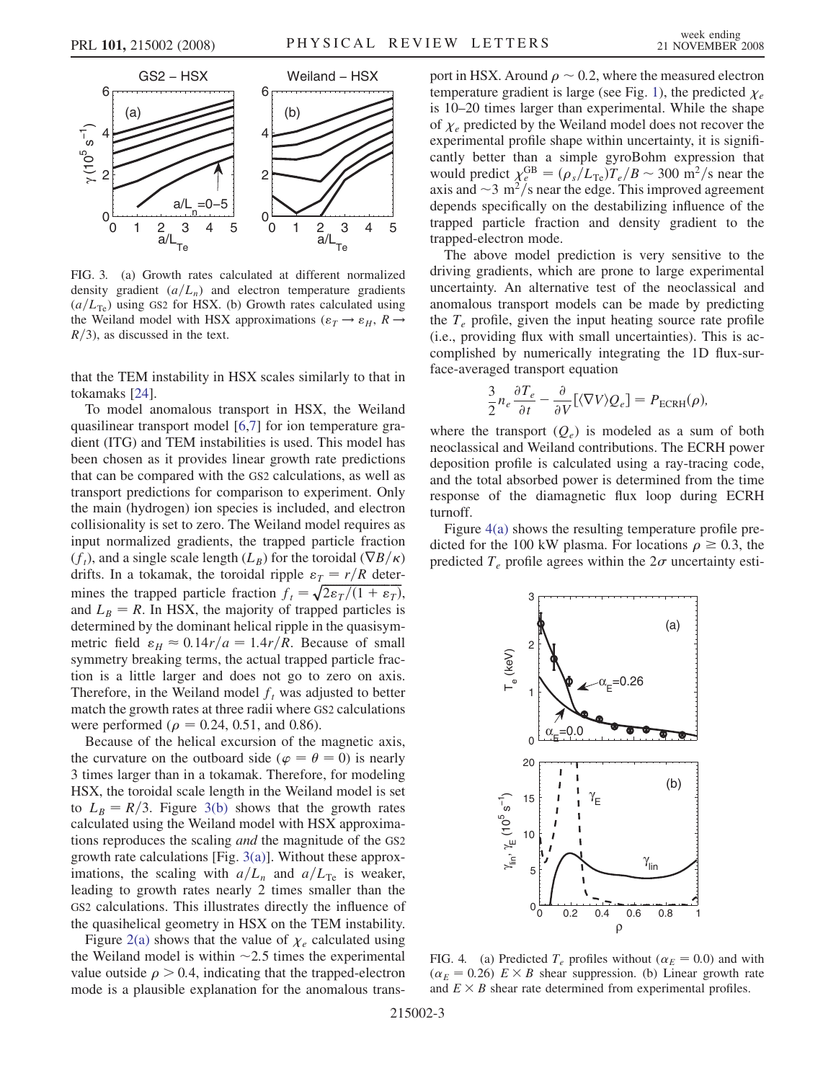<span id="page-2-0"></span>

FIG. 3. (a) Growth rates calculated at different normalized density gradient  $(a/L_n)$  and electron temperature gradients  $(a/L_{\text{Te}})$  using GS2 for HSX. (b) Growth rates calculated using the Weiland model with HSX approximations ( $\varepsilon_T \rightarrow \varepsilon_H$ ,  $R \rightarrow$  $R/3$ , as discussed in the text.

that the TEM instability in HSX scales similarly to that in tokamaks [24].

To model anomalous transport in HSX, the Weiland quasilinear transport model [6,7] for ion temperature gradient (ITG) and TEM instabilities is used. This model has been chosen as it provides linear growth rate predictions that can be compared with the GS2 calculations, as well as transport predictions for comparison to experiment. Only the main (hydrogen) ion species is included, and electron collisionality is set to zero. The Weiland model requires as input normalized gradients, the trapped particle fraction  $(f_t)$ , and a single scale length  $(L_B)$  for the toroidal  $(\nabla B/\kappa)$ drifts. In a tokamak, the toroidal ripple  $\varepsilon_T = r/R$  determines the trapped particle fraction  $f_t = \sqrt{2\epsilon_T/(1+\epsilon_T)}$ , and  $L_B = R$ . In HSX, the majority of trapped particles is determined by the dominant helical ripple in the quasisymmetric field  $\varepsilon_H \approx 0.14r/a = 1.4r/R$ . Because of small symmetry breaking terms, the actual trapped particle fraction is a little larger and does not go to zero on axis. Therefore, in the Weiland model  $f_t$  was adjusted to better match the growth rates at three radii where GS2 calculations were performed ( $\rho = 0.24, 0.51,$  and 0.86).

Because of the helical excursion of the magnetic axis, the curvature on the outboard side ( $\varphi = \theta = 0$ ) is nearly 3 times larger than in a tokamak. Therefore, for modeling HSX, the toroidal scale length in the Weiland model is set to  $L_B = R/3$ . Figure 3(b) shows that the growth rates calculated using the Weiland model with HSX approximations reproduces the scaling and the magnitude of the GS2 growth rate calculations [Fig. 3(a)]. Without these approximations, the scaling with  $a/L_n$  and  $a/L_{\text{Te}}$  is weaker, leading to growth rates nearly 2 times smaller than the GS2 calculations. This illustrates directly the influence of the quasihelical geometry in HSX on the TEM instability.

Figure [2\(a\)](#page-1-0) shows that the value of  $\chi_e$  calculated using the Weiland model is within  $\sim$  2.5 times the experimental value outside  $\rho > 0.4$ , indicating that the trapped-electron mode is a plausible explanation for the anomalous transport in HSX. Around  $\rho \sim 0.2$ , where the measured electron temperature gradient is large (see Fig. [1\)](#page-1-0), the predicted  $\chi_e$ is 10–20 times larger than experimental. While the shape of  $\chi_e$  predicted by the Weiland model does not recover the experimental profile shape within uncertainty, it is significantly better than a simple gyroBohm expression that would predict  $\chi_e^{\text{GB}} = (\rho_s/L_{\text{Te}})T_e/B \sim 300 \text{ m}^2/\text{s}$  near the axis and  $\sim$ 3 m<sup>2</sup>/s near the edge. This improved agreement depends specifically on the destabilizing influence of the trapped particle fraction and density gradient to the trapped-electron mode.

The above model prediction is very sensitive to the driving gradients, which are prone to large experimental uncertainty. An alternative test of the neoclassical and anomalous transport models can be made by predicting the  $T_e$  profile, given the input heating source rate profile (i.e., providing flux with small uncertainties). This is accomplished by numerically integrating the 1D flux-surface-averaged transport equation

$$
\frac{3}{2}n_e \frac{\partial T_e}{\partial t} - \frac{\partial}{\partial V} [\langle \nabla V \rangle Q_e] = P_{\text{ECRH}}(\rho),
$$

where the transport  $(Q_e)$  is modeled as a sum of both neoclassical and Weiland contributions. The ECRH power deposition profile is calculated using a ray-tracing code, and the total absorbed power is determined from the time response of the diamagnetic flux loop during ECRH turnoff.

Figure 4(a) shows the resulting temperature profile predicted for the 100 kW plasma. For locations  $\rho \ge 0.3$ , the predicted  $T_e$  profile agrees within the  $2\sigma$  uncertainty esti-



FIG. 4. (a) Predicted  $T_e$  profiles without ( $\alpha_E = 0.0$ ) and with  $(\alpha_E = 0.26)$   $E \times B$  shear suppression. (b) Linear growth rate and  $E \times B$  shear rate determined from experimental profiles.